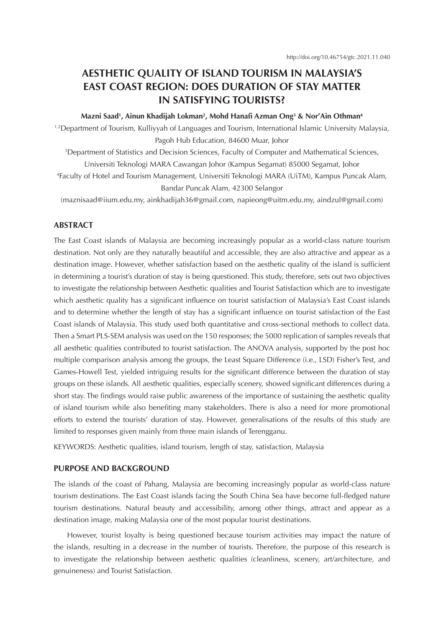# **AESTHETIC QUALITY OF ISLAND TOURISM IN MALAYSIA'S EAST COAST REGION: DOES DURATION OF STAY MATTER IN SATISFYING TOURISTS?**

#### **Mazni Saad1 , Ainun Khadijah Lokman2 , Mohd Hanafi Azman Ong<sup>3</sup> & Nor'Ain Othman4**

<sup>1,2</sup>Department of Tourism, Kulliyyah of Languages and Tourism, International Islamic University Malaysia, Pagoh Hub Education, 84600 Muar, Johor

3 Department of Statistics and Decision Sciences, Faculty of Computer and Mathematical Sciences, Universiti Teknologi MARA Cawangan Johor (Kampus Segamat) 85000 Segamat, Johor

4 Faculty of Hotel and Tourism Management, Universiti Teknologi MARA (UiTM), Kampus Puncak Alam, Bandar Puncak Alam, 42300 Selangor

(maznisaad@iium.edu.my, ainkhadijah36@gmail.com, napieong@uitm.edu.my, aindzul@gmail.com)

## **ABSTRACT**

The East Coast islands of Malaysia are becoming increasingly popular as a world-class nature tourism destination. Not only are they naturally beautiful and accessible, they are also attractive and appear as a destination image. However, whether satisfaction based on the aesthetic quality of the island is sufficient in determining a tourist's duration of stay is being questioned. This study, therefore, sets out two objectives to investigate the relationship between Aesthetic qualities and Tourist Satisfaction which are to investigate which aesthetic quality has a significant influence on tourist satisfaction of Malaysia's East Coast islands and to determine whether the length of stay has a significant influence on tourist satisfaction of the East Coast islands of Malaysia. This study used both quantitative and cross-sectional methods to collect data. Then a Smart PLS-SEM analysis was used on the 150 responses; the 5000 replication of samples reveals that all aesthetic qualities contributed to tourist satisfaction. The ANOVA analysis, supported by the post hoc multiple comparison analysis among the groups, the Least Square Difference (i.e., LSD) Fisher's Test, and Games-Howell Test, yielded intriguing results for the significant difference between the duration of stay groups on these islands. All aesthetic qualities, especially scenery, showed significant differences during a short stay. The findings would raise public awareness of the importance of sustaining the aesthetic quality of island tourism while also benefiting many stakeholders. There is also a need for more promotional efforts to extend the tourists' duration of stay. However, generalisations of the results of this study are limited to responses given mainly from three main islands of Terengganu.

KEYWORDS: Aesthetic qualities, island tourism, length of stay, satisfaction, Malaysia

## **PURPOSE AND BACKGROUND**

The islands of the coast of Pahang, Malaysia are becoming increasingly popular as world-class nature tourism destinations. The East Coast islands facing the South China Sea have become full-fledged nature tourism destinations. Natural beauty and accessibility, among other things, attract and appear as a destination image, making Malaysia one of the most popular tourist destinations.

However, tourist loyalty is being questioned because tourism activities may impact the nature of the islands, resulting in a decrease in the number of tourists. Therefore, the purpose of this research is to investigate the relationship between aesthetic qualities (cleanliness, scenery, art/architecture, and genuineness) and Tourist Satisfaction.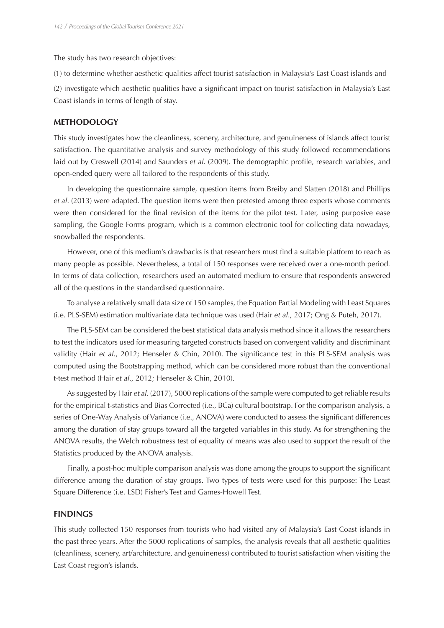The study has two research objectives:

(1) to determine whether aesthetic qualities affect tourist satisfaction in Malaysia's East Coast islands and

(2) investigate which aesthetic qualities have a significant impact on tourist satisfaction in Malaysia's East Coast islands in terms of length of stay.

#### **METHODOLOGY**

This study investigates how the cleanliness, scenery, architecture, and genuineness of islands affect tourist satisfaction. The quantitative analysis and survey methodology of this study followed recommendations laid out by Creswell (2014) and Saunders *et al*. (2009). The demographic profile, research variables, and open-ended query were all tailored to the respondents of this study.

In developing the questionnaire sample, question items from Breiby and Slatten (2018) and Phillips *et al*. (2013) were adapted. The question items were then pretested among three experts whose comments were then considered for the final revision of the items for the pilot test. Later, using purposive ease sampling, the Google Forms program, which is a common electronic tool for collecting data nowadays, snowballed the respondents.

However, one of this medium's drawbacks is that researchers must find a suitable platform to reach as many people as possible. Nevertheless, a total of 150 responses were received over a one-month period. In terms of data collection, researchers used an automated medium to ensure that respondents answered all of the questions in the standardised questionnaire.

To analyse a relatively small data size of 150 samples, the Equation Partial Modeling with Least Squares (i.e. PLS-SEM) estimation multivariate data technique was used (Hair *et al*., 2017; Ong & Puteh, 2017).

The PLS-SEM can be considered the best statistical data analysis method since it allows the researchers to test the indicators used for measuring targeted constructs based on convergent validity and discriminant validity (Hair *et al*., 2012; Henseler & Chin, 2010). The significance test in this PLS-SEM analysis was computed using the Bootstrapping method, which can be considered more robust than the conventional t-test method (Hair *et al*., 2012; Henseler & Chin, 2010).

As suggested by Hair *et al*. (2017), 5000 replications of the sample were computed to get reliable results for the empirical t-statistics and Bias Corrected (i.e., BCa) cultural bootstrap. For the comparison analysis, a series of One-Way Analysis of Variance (i.e., ANOVA) were conducted to assess the significant differences among the duration of stay groups toward all the targeted variables in this study. As for strengthening the ANOVA results, the Welch robustness test of equality of means was also used to support the result of the Statistics produced by the ANOVA analysis.

Finally, a post-hoc multiple comparison analysis was done among the groups to support the significant difference among the duration of stay groups. Two types of tests were used for this purpose: The Least Square Difference (i.e. LSD) Fisher's Test and Games-Howell Test.

## **FINDINGS**

This study collected 150 responses from tourists who had visited any of Malaysia's East Coast islands in the past three years. After the 5000 replications of samples, the analysis reveals that all aesthetic qualities (cleanliness, scenery, art/architecture, and genuineness) contributed to tourist satisfaction when visiting the East Coast region's islands.